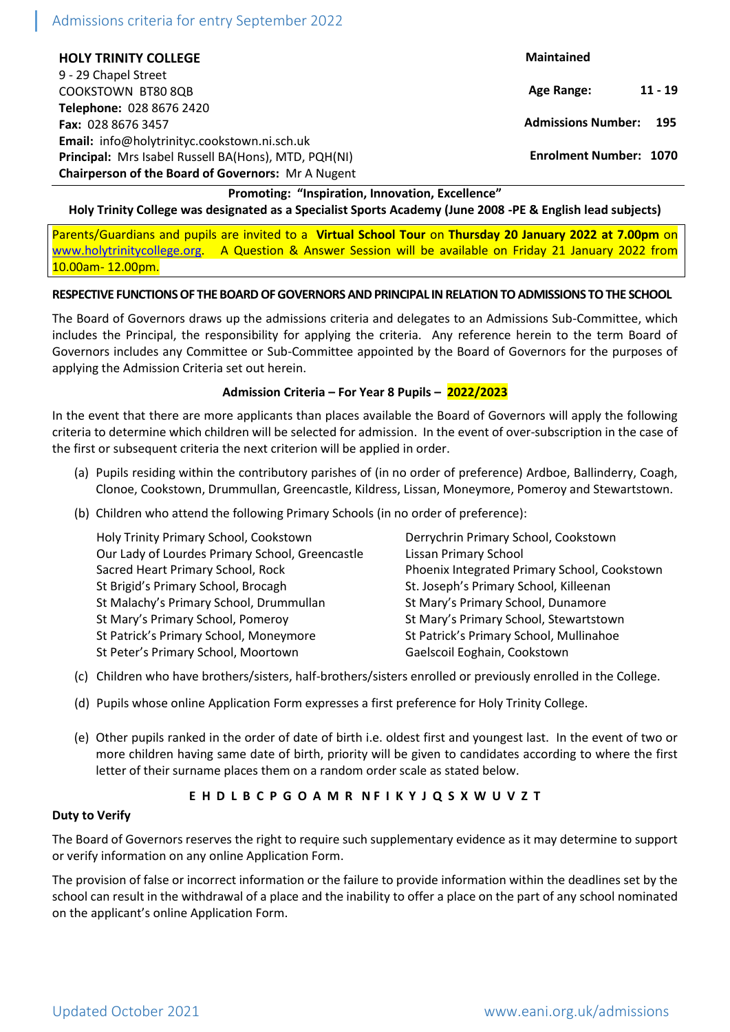# Admissions criteria for entry September 2022

**HOLY TRINITY COLLEGE** 9 - 29 Chapel Street COOKSTOWN BT80 8QB **Telephone:** 028 8676 2420 **Fax:** 028 8676 3457 **Email:** info@holytrinityc.cookstown.ni.sch.uk **Principal:** Mrs Isabel Russell BA(Hons), MTD, PQH(NI) **Chairperson of the Board of Governors:** Mr A Nugent  **Maintained Age Range: 11 - 19 Admissions Number: 195 Enrolment Number: 1070** 

## **Promoting: "Inspiration, Innovation, Excellence"**

**Holy Trinity College was designated as a Specialist Sports Academy (June 2008 -PE & English lead subjects)**

Parents/Guardians and pupils are invited to a **Virtual School Tour** on **Thursday 20 January 2022 at 7.00pm** on [www.holytrinitycollege.org.](http://www.holytrinitycollege.org/) A Question & Answer Session will be available on Friday 21 January 2022 from 10.00am- 12.00pm.

#### **RESPECTIVE FUNCTIONS OF THE BOARD OF GOVERNORS AND PRINCIPAL IN RELATION TO ADMISSIONS TO THE SCHOOL**

The Board of Governors draws up the admissions criteria and delegates to an Admissions Sub-Committee, which includes the Principal, the responsibility for applying the criteria. Any reference herein to the term Board of Governors includes any Committee or Sub-Committee appointed by the Board of Governors for the purposes of applying the Admission Criteria set out herein.

#### **Admission Criteria – For Year 8 Pupils – 2022/2023**

In the event that there are more applicants than places available the Board of Governors will apply the following criteria to determine which children will be selected for admission. In the event of over-subscription in the case of the first or subsequent criteria the next criterion will be applied in order.

- (a) Pupils residing within the contributory parishes of (in no order of preference) Ardboe, Ballinderry, Coagh, Clonoe, Cookstown, Drummullan, Greencastle, Kildress, Lissan, Moneymore, Pomeroy and Stewartstown.
- (b) Children who attend the following Primary Schools (in no order of preference):

| Holy Trinity Primary School, Cookstown          | Derrychrin Primary School, Cookstown         |  |
|-------------------------------------------------|----------------------------------------------|--|
| Our Lady of Lourdes Primary School, Greencastle | Lissan Primary School                        |  |
| Sacred Heart Primary School, Rock               | Phoenix Integrated Primary School, Cookstown |  |
| St Brigid's Primary School, Brocagh             | St. Joseph's Primary School, Killeenan       |  |
| St Malachy's Primary School, Drummullan         | St Mary's Primary School, Dunamore           |  |
| St Mary's Primary School, Pomeroy               | St Mary's Primary School, Stewartstown       |  |
| St Patrick's Primary School, Moneymore          | St Patrick's Primary School, Mullinahoe      |  |
| St Peter's Primary School, Moortown             | Gaelscoil Eoghain, Cookstown                 |  |
|                                                 |                                              |  |

- (c) Children who have brothers/sisters, half-brothers/sisters enrolled or previously enrolled in the College.
- (d) Pupils whose online Application Form expresses a first preference for Holy Trinity College.
- (e) Other pupils ranked in the order of date of birth i.e. oldest first and youngest last. In the event of two or more children having same date of birth, priority will be given to candidates according to where the first letter of their surname places them on a random order scale as stated below.

### E H D L B C P G O A M R N F I K Y J Q S X W U V Z T

#### **Duty to Verify**

The Board of Governors reserves the right to require such supplementary evidence as it may determine to support or verify information on any online Application Form.

The provision of false or incorrect information or the failure to provide information within the deadlines set by the school can result in the withdrawal of a place and the inability to offer a place on the part of any school nominated on the applicant's online Application Form.